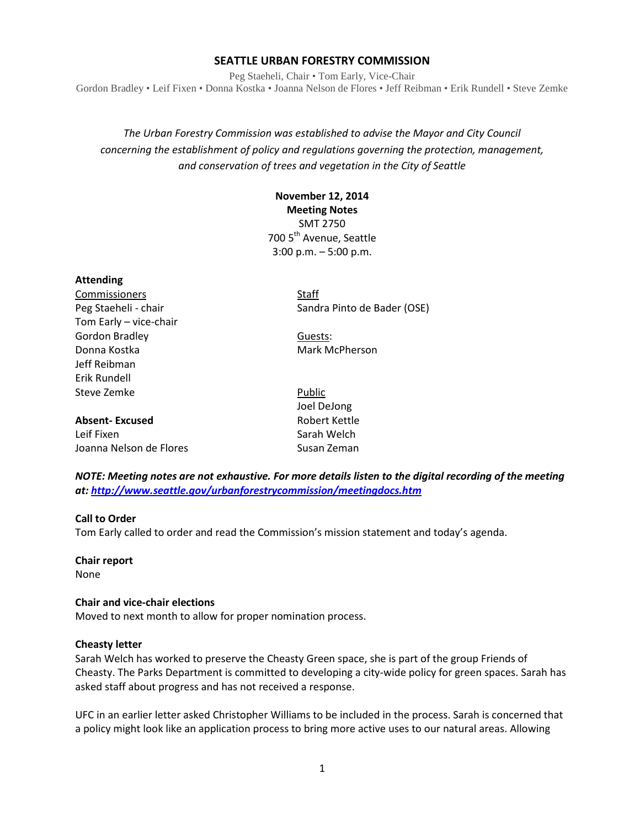#### **SEATTLE URBAN FORESTRY COMMISSION**

Peg Staeheli, Chair • Tom Early, Vice-Chair Gordon Bradley • Leif Fixen • Donna Kostka • Joanna Nelson de Flores • Jeff Reibman • Erik Rundell • Steve Zemke

*The Urban Forestry Commission was established to advise the Mayor and City Council concerning the establishment of policy and regulations governing the protection, management, and conservation of trees and vegetation in the City of Seattle*

# **November 12, 2014 Meeting Notes** SMT 2750 700 5<sup>th</sup> Avenue, Seattle 3:00 p.m. – 5:00 p.m.

**Attending**

Commissioners Staff Tom Early – vice-chair Gordon Bradley **Guests:** Donna Kostka Mark McPherson Jeff Reibman Erik Rundell Steve Zemke **Public** Public

## **Absent-Excused** Robert Kettle

Leif Fixen Sarah Welch Joanna Nelson de Flores **Susan Zeman** 

Peg Staeheli - chair Sandra Pinto de Bader (OSE)

Joel DeJong

*NOTE: Meeting notes are not exhaustive. For more details listen to the digital recording of the meeting at:<http://www.seattle.gov/urbanforestrycommission/meetingdocs.htm>*

#### **Call to Order**

Tom Early called to order and read the Commission's mission statement and today's agenda.

**Chair report** None

#### **Chair and vice-chair elections**

Moved to next month to allow for proper nomination process.

#### **Cheasty letter**

Sarah Welch has worked to preserve the Cheasty Green space, she is part of the group Friends of Cheasty. The Parks Department is committed to developing a city-wide policy for green spaces. Sarah has asked staff about progress and has not received a response.

UFC in an earlier letter asked Christopher Williams to be included in the process. Sarah is concerned that a policy might look like an application process to bring more active uses to our natural areas. Allowing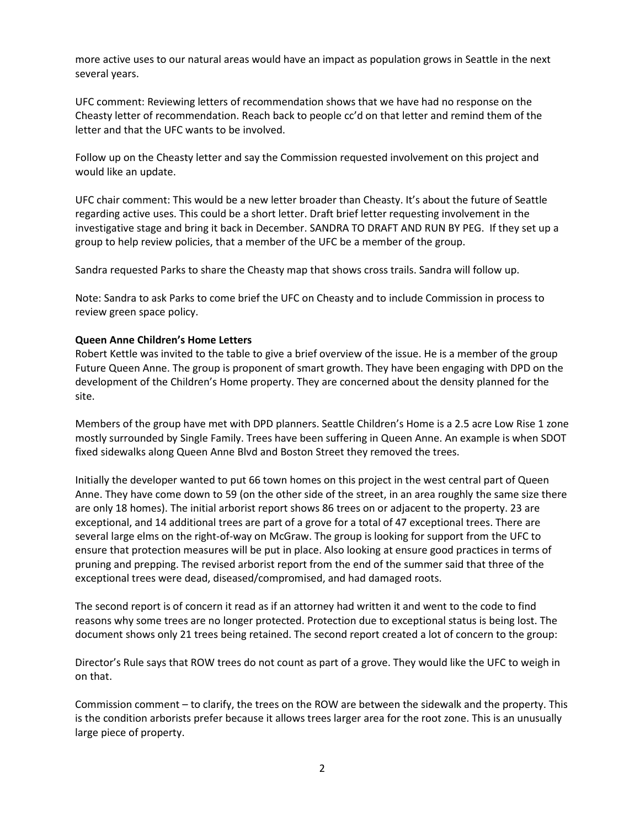more active uses to our natural areas would have an impact as population grows in Seattle in the next several years.

UFC comment: Reviewing letters of recommendation shows that we have had no response on the Cheasty letter of recommendation. Reach back to people cc'd on that letter and remind them of the letter and that the UFC wants to be involved.

Follow up on the Cheasty letter and say the Commission requested involvement on this project and would like an update.

UFC chair comment: This would be a new letter broader than Cheasty. It's about the future of Seattle regarding active uses. This could be a short letter. Draft brief letter requesting involvement in the investigative stage and bring it back in December. SANDRA TO DRAFT AND RUN BY PEG. If they set up a group to help review policies, that a member of the UFC be a member of the group.

Sandra requested Parks to share the Cheasty map that shows cross trails. Sandra will follow up.

Note: Sandra to ask Parks to come brief the UFC on Cheasty and to include Commission in process to review green space policy.

#### **Queen Anne Children's Home Letters**

Robert Kettle was invited to the table to give a brief overview of the issue. He is a member of the group Future Queen Anne. The group is proponent of smart growth. They have been engaging with DPD on the development of the Children's Home property. They are concerned about the density planned for the site.

Members of the group have met with DPD planners. Seattle Children's Home is a 2.5 acre Low Rise 1 zone mostly surrounded by Single Family. Trees have been suffering in Queen Anne. An example is when SDOT fixed sidewalks along Queen Anne Blvd and Boston Street they removed the trees.

Initially the developer wanted to put 66 town homes on this project in the west central part of Queen Anne. They have come down to 59 (on the other side of the street, in an area roughly the same size there are only 18 homes). The initial arborist report shows 86 trees on or adjacent to the property. 23 are exceptional, and 14 additional trees are part of a grove for a total of 47 exceptional trees. There are several large elms on the right-of-way on McGraw. The group is looking for support from the UFC to ensure that protection measures will be put in place. Also looking at ensure good practices in terms of pruning and prepping. The revised arborist report from the end of the summer said that three of the exceptional trees were dead, diseased/compromised, and had damaged roots.

The second report is of concern it read as if an attorney had written it and went to the code to find reasons why some trees are no longer protected. Protection due to exceptional status is being lost. The document shows only 21 trees being retained. The second report created a lot of concern to the group:

Director's Rule says that ROW trees do not count as part of a grove. They would like the UFC to weigh in on that.

Commission comment – to clarify, the trees on the ROW are between the sidewalk and the property. This is the condition arborists prefer because it allows trees larger area for the root zone. This is an unusually large piece of property.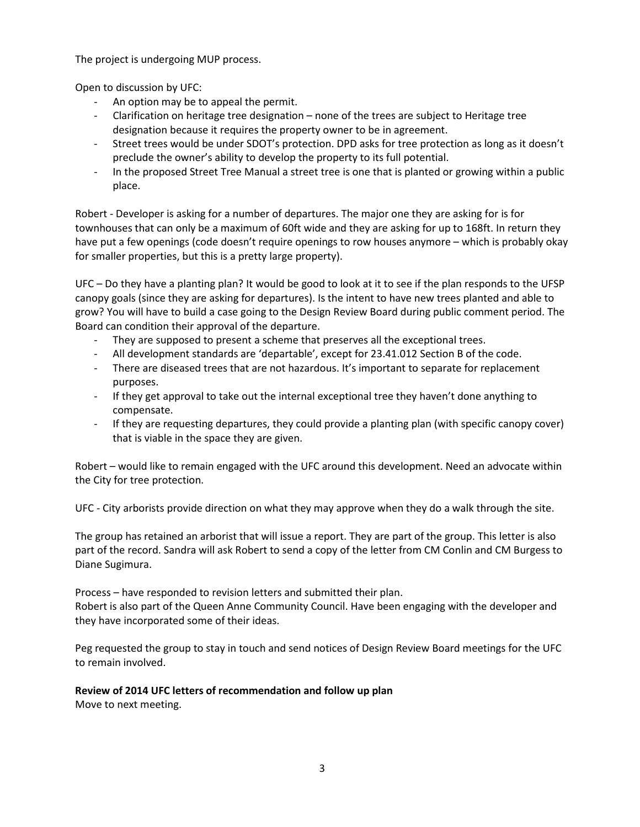The project is undergoing MUP process.

Open to discussion by UFC:

- An option may be to appeal the permit.
- Clarification on heritage tree designation none of the trees are subject to Heritage tree designation because it requires the property owner to be in agreement.
- Street trees would be under SDOT's protection. DPD asks for tree protection as long as it doesn't preclude the owner's ability to develop the property to its full potential.
- In the proposed Street Tree Manual a street tree is one that is planted or growing within a public place.

Robert - Developer is asking for a number of departures. The major one they are asking for is for townhouses that can only be a maximum of 60ft wide and they are asking for up to 168ft. In return they have put a few openings (code doesn't require openings to row houses anymore – which is probably okay for smaller properties, but this is a pretty large property).

UFC – Do they have a planting plan? It would be good to look at it to see if the plan responds to the UFSP canopy goals (since they are asking for departures). Is the intent to have new trees planted and able to grow? You will have to build a case going to the Design Review Board during public comment period. The Board can condition their approval of the departure.

- They are supposed to present a scheme that preserves all the exceptional trees.
- All development standards are 'departable', except for 23.41.012 Section B of the code.
- There are diseased trees that are not hazardous. It's important to separate for replacement purposes.
- If they get approval to take out the internal exceptional tree they haven't done anything to compensate.
- If they are requesting departures, they could provide a planting plan (with specific canopy cover) that is viable in the space they are given.

Robert – would like to remain engaged with the UFC around this development. Need an advocate within the City for tree protection.

UFC - City arborists provide direction on what they may approve when they do a walk through the site.

The group has retained an arborist that will issue a report. They are part of the group. This letter is also part of the record. Sandra will ask Robert to send a copy of the letter from CM Conlin and CM Burgess to Diane Sugimura.

Process – have responded to revision letters and submitted their plan. Robert is also part of the Queen Anne Community Council. Have been engaging with the developer and they have incorporated some of their ideas.

Peg requested the group to stay in touch and send notices of Design Review Board meetings for the UFC to remain involved.

#### **Review of 2014 UFC letters of recommendation and follow up plan**

Move to next meeting.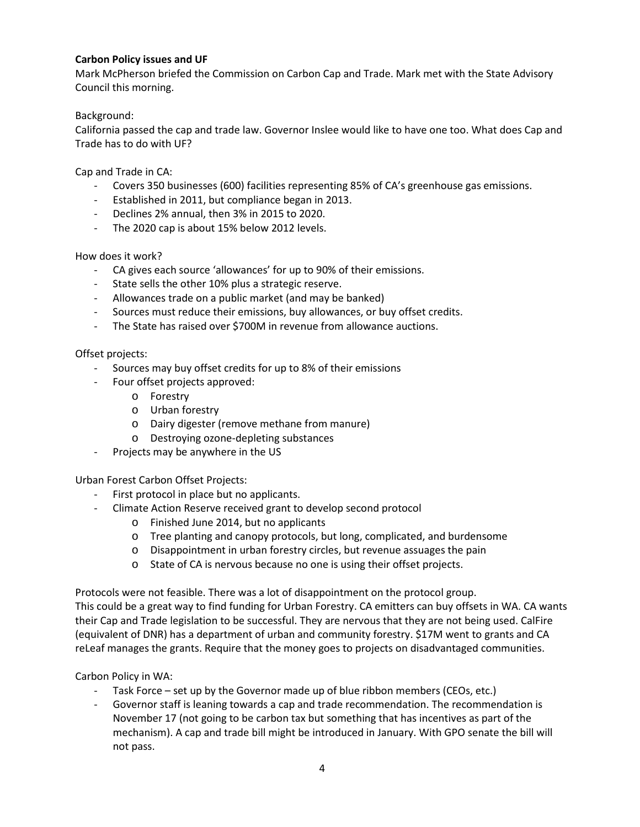## **Carbon Policy issues and UF**

Mark McPherson briefed the Commission on Carbon Cap and Trade. Mark met with the State Advisory Council this morning.

## Background:

California passed the cap and trade law. Governor Inslee would like to have one too. What does Cap and Trade has to do with UF?

Cap and Trade in CA:

- Covers 350 businesses (600) facilities representing 85% of CA's greenhouse gas emissions.
- Established in 2011, but compliance began in 2013.
- Declines 2% annual, then 3% in 2015 to 2020.
- The 2020 cap is about 15% below 2012 levels.

How does it work?

- CA gives each source 'allowances' for up to 90% of their emissions.
- State sells the other 10% plus a strategic reserve.
- Allowances trade on a public market (and may be banked)
- Sources must reduce their emissions, buy allowances, or buy offset credits.
- The State has raised over \$700M in revenue from allowance auctions.

#### Offset projects:

- Sources may buy offset credits for up to 8% of their emissions
- Four offset projects approved:
	- o Forestry
	- o Urban forestry
	- o Dairy digester (remove methane from manure)
	- o Destroying ozone-depleting substances
- Projects may be anywhere in the US

Urban Forest Carbon Offset Projects:

- First protocol in place but no applicants.
- Climate Action Reserve received grant to develop second protocol
	- o Finished June 2014, but no applicants
	- o Tree planting and canopy protocols, but long, complicated, and burdensome
	- o Disappointment in urban forestry circles, but revenue assuages the pain
	- o State of CA is nervous because no one is using their offset projects.

Protocols were not feasible. There was a lot of disappointment on the protocol group.

This could be a great way to find funding for Urban Forestry. CA emitters can buy offsets in WA. CA wants their Cap and Trade legislation to be successful. They are nervous that they are not being used. CalFire (equivalent of DNR) has a department of urban and community forestry. \$17M went to grants and CA reLeaf manages the grants. Require that the money goes to projects on disadvantaged communities.

Carbon Policy in WA:

- Task Force set up by the Governor made up of blue ribbon members (CEOs, etc.)
- Governor staff is leaning towards a cap and trade recommendation. The recommendation is November 17 (not going to be carbon tax but something that has incentives as part of the mechanism). A cap and trade bill might be introduced in January. With GPO senate the bill will not pass.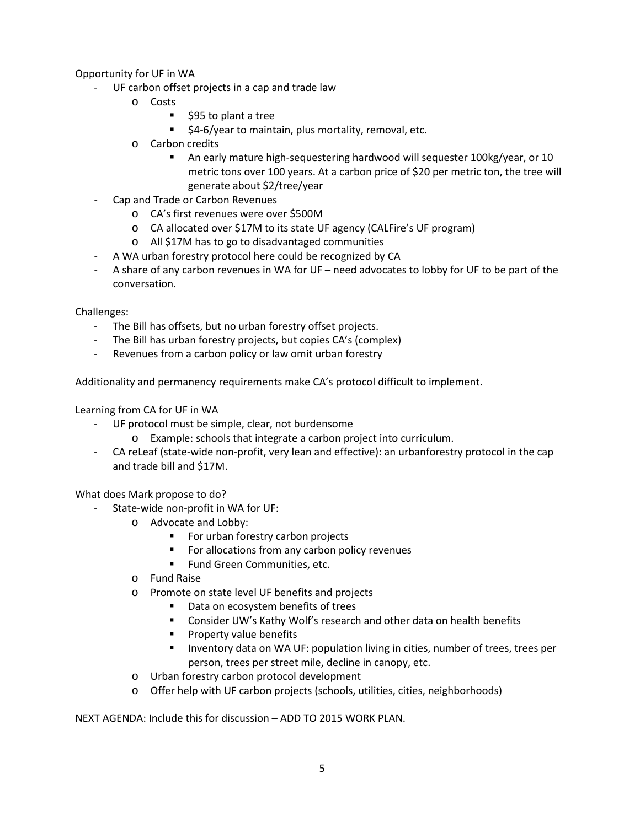## Opportunity for UF in WA

- UF carbon offset projects in a cap and trade law
	- o Costs
		- \$95 to plant a tree
		- **54-6/year to maintain, plus mortality, removal, etc.**
	- o Carbon credits
		- An early mature high-sequestering hardwood will sequester 100kg/year, or 10 metric tons over 100 years. At a carbon price of \$20 per metric ton, the tree will generate about \$2/tree/year
- Cap and Trade or Carbon Revenues
	- o CA's first revenues were over \$500M
	- o CA allocated over \$17M to its state UF agency (CALFire's UF program)
	- o All \$17M has to go to disadvantaged communities
- A WA urban forestry protocol here could be recognized by CA
- A share of any carbon revenues in WA for UF need advocates to lobby for UF to be part of the conversation.

Challenges:

- The Bill has offsets, but no urban forestry offset projects.
- The Bill has urban forestry projects, but copies CA's (complex)
- Revenues from a carbon policy or law omit urban forestry

Additionality and permanency requirements make CA's protocol difficult to implement.

Learning from CA for UF in WA

- UF protocol must be simple, clear, not burdensome
	- o Example: schools that integrate a carbon project into curriculum.
- CA reLeaf (state-wide non-profit, very lean and effective): an urbanforestry protocol in the cap and trade bill and \$17M.

What does Mark propose to do?

- State-wide non-profit in WA for UF:
	- o Advocate and Lobby:
		- **For urban forestry carbon projects**
		- For allocations from any carbon policy revenues
		- **Fund Green Communities, etc.**
	- o Fund Raise
	- o Promote on state level UF benefits and projects
		- Data on ecosystem benefits of trees
		- **E** Consider UW's Kathy Wolf's research and other data on health benefits
		- **Property value benefits**
		- **Inventory data on WA UF: population living in cities, number of trees, trees per** person, trees per street mile, decline in canopy, etc.
	- o Urban forestry carbon protocol development
	- o Offer help with UF carbon projects (schools, utilities, cities, neighborhoods)

NEXT AGENDA: Include this for discussion – ADD TO 2015 WORK PLAN.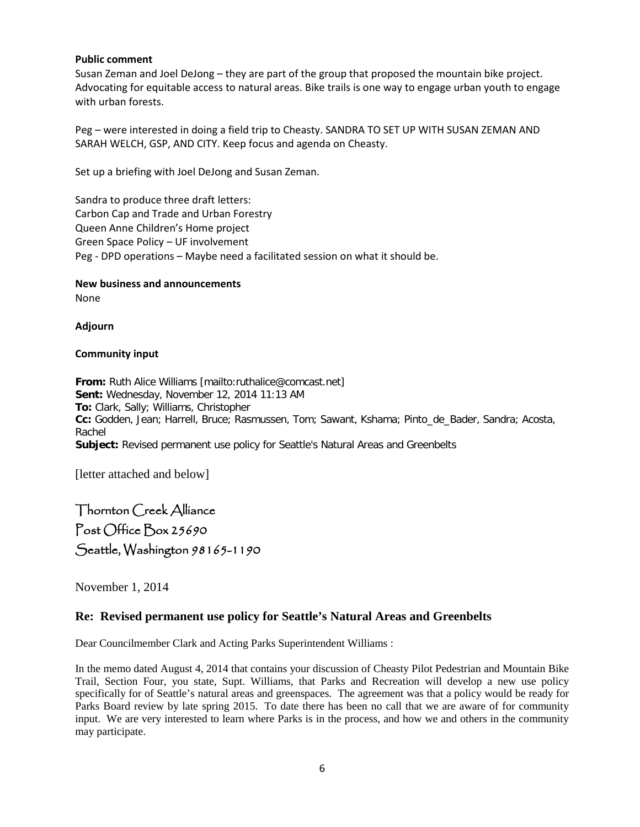#### **Public comment**

Susan Zeman and Joel DeJong – they are part of the group that proposed the mountain bike project. Advocating for equitable access to natural areas. Bike trails is one way to engage urban youth to engage with urban forests.

Peg – were interested in doing a field trip to Cheasty. SANDRA TO SET UP WITH SUSAN ZEMAN AND SARAH WELCH, GSP, AND CITY. Keep focus and agenda on Cheasty.

Set up a briefing with Joel DeJong and Susan Zeman.

Sandra to produce three draft letters: Carbon Cap and Trade and Urban Forestry Queen Anne Children's Home project Green Space Policy – UF involvement Peg - DPD operations – Maybe need a facilitated session on what it should be.

#### **New business and announcements** None

**Adjourn**

## **Community input**

**From:** Ruth Alice Williams [mailto:ruthalice@comcast.net] **Sent:** Wednesday, November 12, 2014 11:13 AM **To:** Clark, Sally; Williams, Christopher **Cc:** Godden, Jean; Harrell, Bruce; Rasmussen, Tom; Sawant, Kshama; Pinto\_de\_Bader, Sandra; Acosta, Rachel **Subject:** Revised permanent use policy for Seattle's Natural Areas and Greenbelts

[letter attached and below]

Thornton Creek Alliance Post Office Box 25690 Seattle, Washington 98165-1190

November 1, 2014

# **Re: Revised permanent use policy for Seattle's Natural Areas and Greenbelts**

Dear Councilmember Clark and Acting Parks Superintendent Williams :

In the memo dated August 4, 2014 that contains your discussion of Cheasty Pilot Pedestrian and Mountain Bike Trail, Section Four, you state, Supt. Williams, that Parks and Recreation will develop a new use policy specifically for of Seattle's natural areas and greenspaces. The agreement was that a policy would be ready for Parks Board review by late spring 2015. To date there has been no call that we are aware of for community input. We are very interested to learn where Parks is in the process, and how we and others in the community may participate.